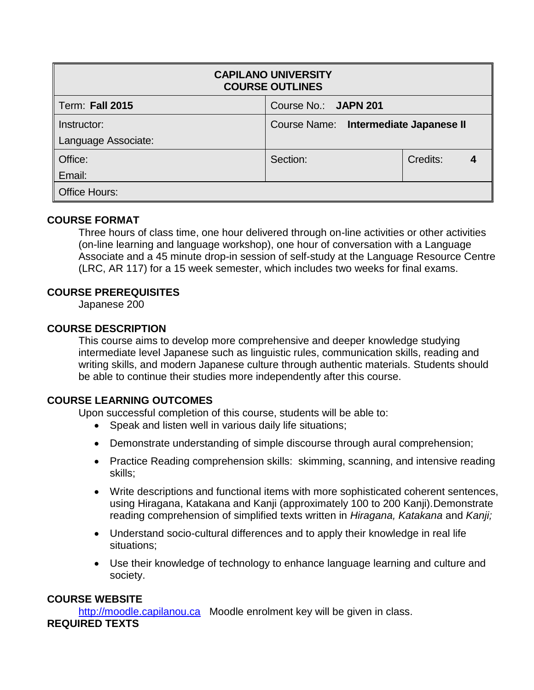| <b>CAPILANO UNIVERSITY</b><br><b>COURSE OUTLINES</b> |                                       |          |  |  |  |  |
|------------------------------------------------------|---------------------------------------|----------|--|--|--|--|
| <b>Term: Fall 2015</b>                               | Course No.: JAPN 201                  |          |  |  |  |  |
| Instructor:                                          | Course Name: Intermediate Japanese II |          |  |  |  |  |
| Language Associate:                                  |                                       |          |  |  |  |  |
| Office:                                              | Section:                              | Credits: |  |  |  |  |
| Email:                                               |                                       |          |  |  |  |  |
| <b>Office Hours:</b>                                 |                                       |          |  |  |  |  |

## **COURSE FORMAT**

Three hours of class time, one hour delivered through on-line activities or other activities (on-line learning and language workshop), one hour of conversation with a Language Associate and a 45 minute drop-in session of self-study at the Language Resource Centre (LRC, AR 117) for a 15 week semester, which includes two weeks for final exams.

## **COURSE PREREQUISITES**

Japanese 200

## **COURSE DESCRIPTION**

This course aims to develop more comprehensive and deeper knowledge studying intermediate level Japanese such as linguistic rules, communication skills, reading and writing skills, and modern Japanese culture through authentic materials. Students should be able to continue their studies more independently after this course.

## **COURSE LEARNING OUTCOMES**

Upon successful completion of this course, students will be able to:

- Speak and listen well in various daily life situations;
- Demonstrate understanding of simple discourse through aural comprehension;
- Practice Reading comprehension skills: skimming, scanning, and intensive reading skills;
- Write descriptions and functional items with more sophisticated coherent sentences, using Hiragana, Katakana and Kanji (approximately 100 to 200 Kanji).Demonstrate reading comprehension of simplified texts written in *Hiragana, Katakana* and *Kanji;*
- Understand socio-cultural differences and to apply their knowledge in real life situations;
- Use their knowledge of technology to enhance language learning and culture and society.

# **COURSE WEBSITE**

[http://moodle.capilanou.ca](http://moodle.capilanou.ca/) Moodle enrolment key will be given in class.

## **REQUIRED TEXTS**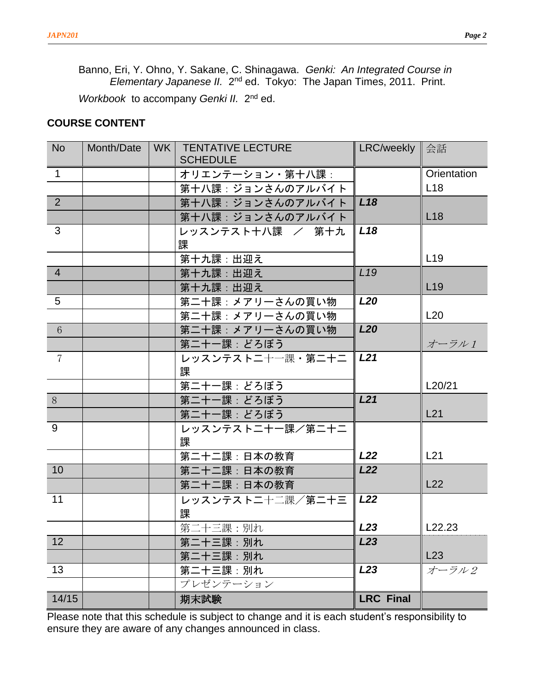Banno, Eri, Y. Ohno, Y. Sakane, C. Shinagawa. *Genki: An Integrated Course in*  Elementary Japanese II. 2<sup>nd</sup> ed. Tokyo: The Japan Times, 2011. Print.

Workbook to accompany Genki II. 2<sup>nd</sup> ed.

### **COURSE CONTENT**

| <b>No</b>       | Month/Date | WK   TENTATIVE LECTURE<br><b>SCHEDULE</b> | LRC/weekly 全話    |                 |
|-----------------|------------|-------------------------------------------|------------------|-----------------|
| $\mathbf{1}$    |            |                                           |                  | Orientation     |
|                 |            | オリエンテーション・第十八課:                           |                  | L18             |
| 2               |            | 第十八課:ジョンさんのアルバイト                          |                  |                 |
|                 |            | 第十八課: ジョンさんのアルバイト                         | L <sub>18</sub>  |                 |
|                 |            | 第十八課: ジョンさんのアルバイト                         |                  | L <sub>18</sub> |
| 3               |            | レッスンテスト十八課 / 第十九                          | L <sub>18</sub>  |                 |
|                 |            | 課                                         |                  |                 |
|                 |            | 第十九課:出迎え                                  |                  | L <sub>19</sub> |
| $\overline{4}$  |            | 第十九課:出迎え                                  | L <sub>19</sub>  |                 |
|                 |            | 第十九課:出迎え                                  |                  | L <sub>19</sub> |
| 5               |            | 第二十課: メアリーさんの買い物                          | <b>L20</b>       |                 |
|                 |            | 第二十課: メアリーさんの買い物                          |                  | L20             |
| $6\phantom{.}6$ |            | 第二十課: メアリーさんの買い物                          | <b>L20</b>       |                 |
|                 |            | 第二十一課:どろぼう                                |                  | オーラル1           |
| $\overline{7}$  |            | レッスンテストニ十一課・第二十二                          | L21              |                 |
|                 |            | 課                                         |                  |                 |
|                 |            | 第二十一課: どろぼう                               |                  | L20/21          |
| 8               |            | 第二十一課: どろぼう                               | L21              |                 |
|                 |            | 第二十一課:どろぼう                                |                  | L21             |
| 9               |            | レッスンテストニ十一課/第二十二                          |                  |                 |
|                 |            | 課                                         |                  |                 |
|                 |            | 第二十二課:日本の教育                               | L22              | L21             |
| 10              |            | 第二十二課:日本の教育                               | L22              |                 |
|                 |            | 第二十二課:日本の教育                               |                  | L22             |
| 11              |            | レッスンテストニ十二課/第二十三                          | L22              |                 |
|                 |            | 課                                         |                  |                 |
|                 |            | 第二十三課:別れ                                  | L <sub>23</sub>  | L22.23          |
| 12              |            | 第二十三課:別れ                                  | L <sub>23</sub>  |                 |
|                 |            | 第二十三課:別れ                                  |                  | L23             |
| 13              |            | 第二十三課:別れ                                  | L <sub>23</sub>  | オーラル2           |
|                 |            | プレゼンテーション                                 |                  |                 |
| 14/15           |            | 期末試験                                      | <b>LRC Final</b> |                 |

Please note that this schedule is subject to change and it is each student's responsibility to ensure they are aware of any changes announced in class.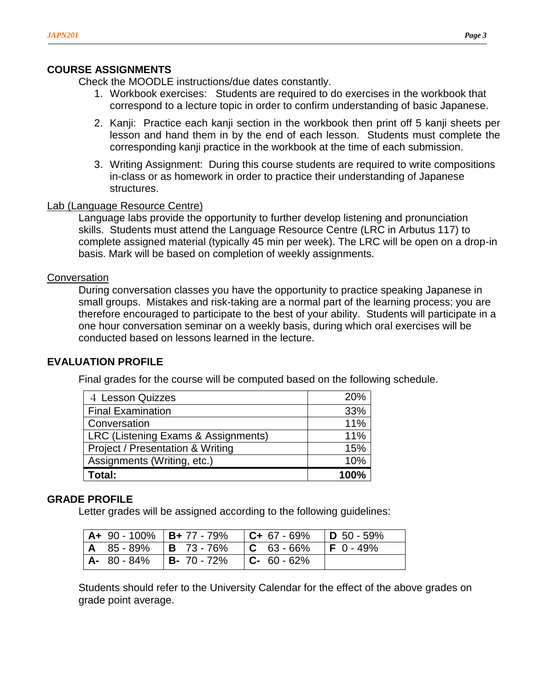## **COURSE ASSIGNMENTS**

Check the MOODLE instructions/due dates constantly.

- 1. Workbook exercises: Students are required to do exercises in the workbook that correspond to a lecture topic in order to confirm understanding of basic Japanese.
- 2. Kanji: Practice each kanji section in the workbook then print off 5 kanji sheets per lesson and hand them in by the end of each lesson. Students must complete the corresponding kanji practice in the workbook at the time of each submission.
- 3. Writing Assignment: During this course students are required to write compositions in-class or as homework in order to practice their understanding of Japanese structures.

### Lab (Language Resource Centre)

Language labs provide the opportunity to further develop listening and pronunciation skills. Students must attend the Language Resource Centre (LRC in Arbutus 117) to complete assigned material (typically 45 min per week). The LRC will be open on a drop-in basis. Mark will be based on completion of weekly assignments.

### **Conversation**

During conversation classes you have the opportunity to practice speaking Japanese in small groups. Mistakes and risk-taking are a normal part of the learning process; you are therefore encouraged to participate to the best of your ability. Students will participate in a one hour conversation seminar on a weekly basis, during which oral exercises will be conducted based on lessons learned in the lecture.

## **EVALUATION PROFILE**

Final grades for the course will be computed based on the following schedule.

| 4 Lesson Quizzes                            | 20%  |
|---------------------------------------------|------|
| <b>Final Examination</b>                    | 33%  |
| Conversation                                | 11%  |
| LRC (Listening Exams & Assignments)         | 11%  |
| <b>Project / Presentation &amp; Writing</b> | 15%  |
| Assignments (Writing, etc.)                 | 10%  |
| Total:                                      | 100% |

### **GRADE PROFILE**

Letter grades will be assigned according to the following guidelines:

|  | $\vert$ A+ 90 - 100% $\vert$ B+ 77 - 79% $\vert$ C+ 67 - 69% $\vert$ D 50 - 59% |  |
|--|---------------------------------------------------------------------------------|--|
|  | $ $ A $ $ 85 - 89% $ $ B $ $ 73 - 76% $ $ C $ $ 63 - 66% $ $ F $ $ 0 - 49%      |  |
|  | $ $ A- 80 - 84% $ $ B- 70 - 72% $ $ C- 60 - 62%                                 |  |

Students should refer to the University Calendar for the effect of the above grades on grade point average.